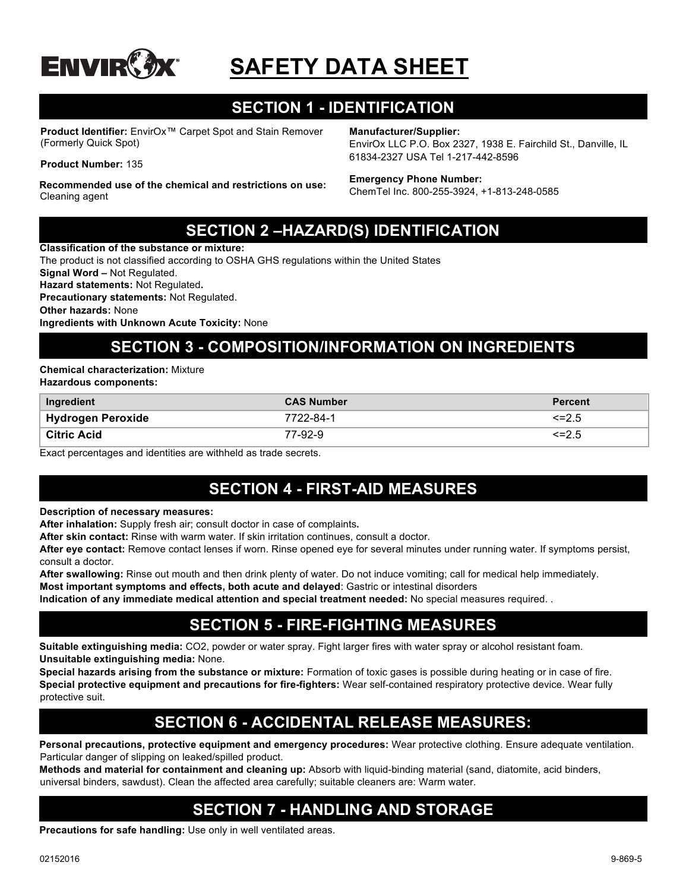

# **SAFETY DATA SHEET**

# **SECTION 1 - IDENTIFICATION**

**Product Identifier:** EnvirOx™ Carpet Spot and Stain Remover (Formerly Quick Spot)

**Product Number:** 135

**Recommended use of the chemical and restrictions on use:**  Cleaning agent

**Manufacturer/Supplier:**

EnvirOx LLC P.O. Box 2327, 1938 E. Fairchild St., Danville, IL 61834-2327 USA Tel 1-217-442-8596

#### **Emergency Phone Number:**

ChemTel Inc. 800-255-3924, +1-813-248-0585

### **SECTION 2 –HAZARD(S) IDENTIFICATION**

**Classification of the substance or mixture:** The product is not classified according to OSHA GHS regulations within the United States **Signal Word –** Not Regulated. **Hazard statements:** Not Regulated**. Precautionary statements:** Not Regulated. **Other hazards:** None **Ingredients with Unknown Acute Toxicity:** None

# **SECTION 3 - COMPOSITION/INFORMATION ON INGREDIENTS**

**Chemical characterization:** Mixture

**Hazardous components:**

| Ingredient               | <b>CAS Number</b> | <b>Percent</b> |
|--------------------------|-------------------|----------------|
| <b>Hydrogen Peroxide</b> | 7722-84-1         | $\leq$ = 2.5   |
| <b>Citric Acid</b>       | 77-92-9           | <=2.5          |

Exact percentages and identities are withheld as trade secrets.

# **SECTION 4 - FIRST-AID MEASURES**

**Description of necessary measures:**

**After inhalation:** Supply fresh air; consult doctor in case of complaints**.**

**After skin contact:** Rinse with warm water. If skin irritation continues, consult a doctor.

**After eye contact:** Remove contact lenses if worn. Rinse opened eye for several minutes under running water. If symptoms persist, consult a doctor.

**After swallowing:** Rinse out mouth and then drink plenty of water. Do not induce vomiting; call for medical help immediately.

**Most important symptoms and effects, both acute and delayed**: Gastric or intestinal disorders

**Indication of any immediate medical attention and special treatment needed:** No special measures required. .

### **SECTION 5 - FIRE-FIGHTING MEASURES**

**Suitable extinguishing media:** CO2, powder or water spray. Fight larger fires with water spray or alcohol resistant foam. **Unsuitable extinguishing media:** None.

**Special hazards arising from the substance or mixture:** Formation of toxic gases is possible during heating or in case of fire. **Special protective equipment and precautions for fire-fighters:** Wear self-contained respiratory protective device. Wear fully protective suit.

# **SECTION 6 - ACCIDENTAL RELEASE MEASURES:**

**Personal precautions, protective equipment and emergency procedures:** Wear protective clothing. Ensure adequate ventilation. Particular danger of slipping on leaked/spilled product.

**Methods and material for containment and cleaning up:** Absorb with liquid-binding material (sand, diatomite, acid binders, universal binders, sawdust). Clean the affected area carefully; suitable cleaners are: Warm water.

# **SECTION 7 - HANDLING AND STORAGE**

**Precautions for safe handling:** Use only in well ventilated areas.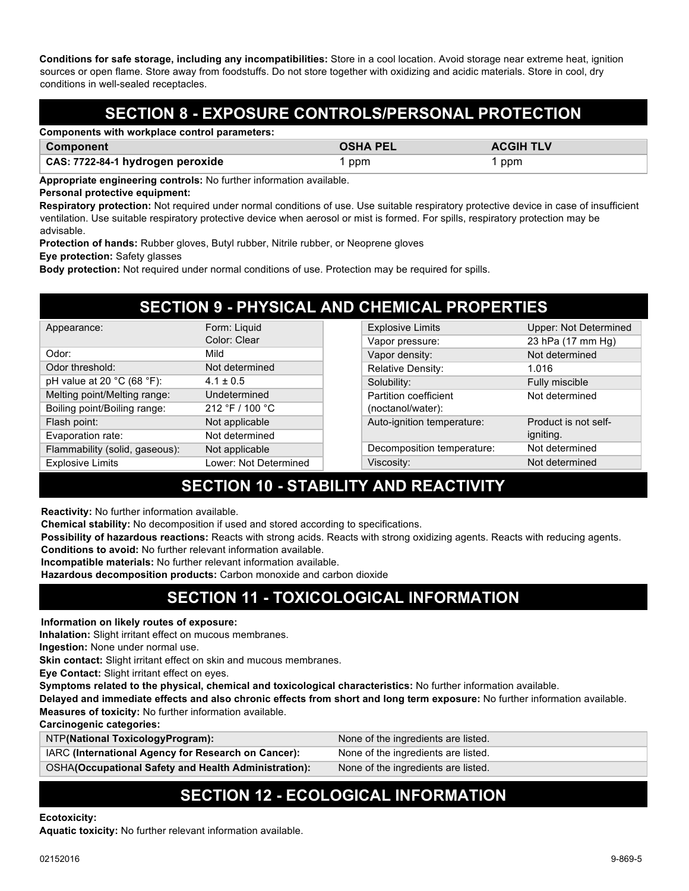**Conditions for safe storage, including any incompatibilities:** Store in a cool location. Avoid storage near extreme heat, ignition sources or open flame. Store away from foodstuffs. Do not store together with oxidizing and acidic materials. Store in cool, dry conditions in well-sealed receptacles.

# **SECTION 8 - EXPOSURE CONTROLS/PERSONAL PROTECTION**

| Components with workplace control parameters: |  |
|-----------------------------------------------|--|
|-----------------------------------------------|--|

**CAS: 7722-84-1 hydrogen peroxide 1 ppm 1 ppm 1 ppm 1 ppm** 1 ppm

**Component Component Component Component Component Component Component Component Component Component Component Component Component Component Component Component Component Component Component Component Component Component C** 

**Appropriate engineering controls:** No further information available.

#### **Personal protective equipment:**

**Respiratory protection:** Not required under normal conditions of use. Use suitable respiratory protective device in case of insufficient ventilation. Use suitable respiratory protective device when aerosol or mist is formed. For spills, respiratory protection may be advisable.

**Protection of hands:** Rubber gloves, Butyl rubber, Nitrile rubber, or Neoprene gloves

**Eye protection:** Safety glasses

**Body protection:** Not required under normal conditions of use. Protection may be required for spills.

| <b>SECTION 9 - PHYSICAL AND CHEMICAL PROPERTIES</b> |                       |  |                            |                              |
|-----------------------------------------------------|-----------------------|--|----------------------------|------------------------------|
| Appearance:                                         | Form: Liquid          |  | <b>Explosive Limits</b>    | <b>Upper: Not Determined</b> |
|                                                     | Color: Clear          |  | Vapor pressure:            | 23 hPa (17 mm Hg)            |
| Odor:                                               | Mild                  |  | Vapor density:             | Not determined               |
| Odor threshold:                                     | Not determined        |  | <b>Relative Density:</b>   | 1.016                        |
| pH value at 20 $^{\circ}$ C (68 $^{\circ}$ F):      | $4.1 \pm 0.5$         |  | Solubility:                | Fully miscible               |
| Melting point/Melting range:                        | Undetermined          |  | Partition coefficient      | Not determined               |
| Boiling point/Boiling range:                        | 212 °F / 100 °C       |  | (noctanol/water):          |                              |
| Flash point:                                        | Not applicable        |  | Auto-ignition temperature: | Product is not self-         |
| Evaporation rate:                                   | Not determined        |  |                            | igniting.                    |
| Flammability (solid, gaseous):                      | Not applicable        |  | Decomposition temperature: | Not determined               |
| <b>Explosive Limits</b>                             | Lower: Not Determined |  | Viscosity:                 | Not determined               |

# **SECTION 10 - STABILITY AND REACTIVITY**

**Reactivity:** No further information available.

**Chemical stability:** No decomposition if used and stored according to specifications.

**Possibility of hazardous reactions:** Reacts with strong acids. Reacts with strong oxidizing agents. Reacts with reducing agents. **Conditions to avoid:** No further relevant information available.

**Incompatible materials:** No further relevant information available.

**Hazardous decomposition products:** Carbon monoxide and carbon dioxide

# **SECTION 11 - TOXICOLOGICAL INFORMATION**

#### **Information on likely routes of exposure:**

**Inhalation:** Slight irritant effect on mucous membranes.

**Ingestion:** None under normal use.

**Skin contact:** Slight irritant effect on skin and mucous membranes.

**Eye Contact:** Slight irritant effect on eyes.

**Symptoms related to the physical, chemical and toxicological characteristics:** No further information available.

**Delayed and immediate effects and also chronic effects from short and long term exposure:** No further information available.

**Measures of toxicity:** No further information available.

**Carcinogenic categories:** NTP**(National ToxicologyProgram):** None of the ingredients are listed. IARC **(International Agency for Research on Cancer):** None of the ingredients are listed. OSHA**(Occupational Safety and Health Administration):** None of the ingredients are listed.

# **SECTION 12 - ECOLOGICAL INFORMATION**

#### **Ecotoxicity:**

**Aquatic toxicity:** No further relevant information available.